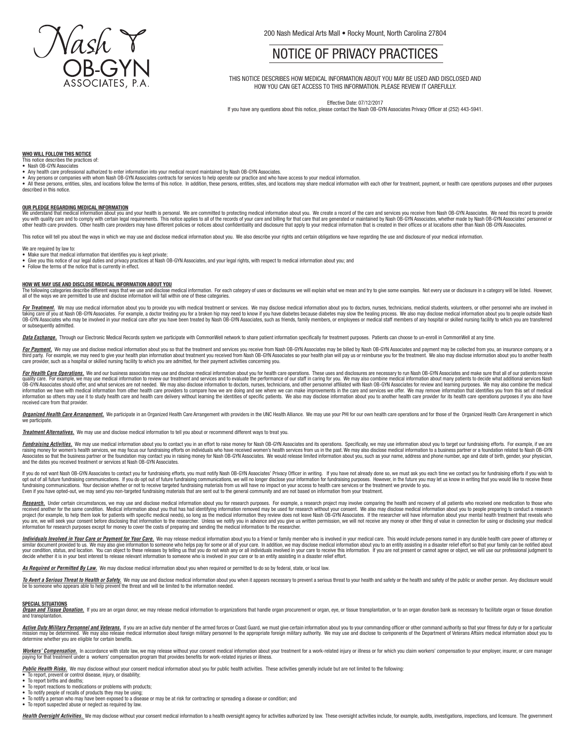

200 Nash Medical Arts Mall . Rocky Mount, North Carolina 27804

# NOTICE OF PRIVACY PRACTICES

THIS NOTICE DESCRIBES HOW MEDICAL INFORMATION ABOUT YOU MAY BE USED AND DISCLOSED AND HOW YOU CAN GET ACCESS TO THIS INFORMATION. PLEASE REVIEW IT CAREFULLY.

Effective Date: 07/12/2017

If you have any questions about this notice, please contact the Nash OB-GYN Associates Privacy Officer at (252) 443-5941.

# **WHO WILL FOLLOW THIS NOTICE**

# This notice describes the practices of: • Nash OB-GYN Associates

- Any health care professional authorized to enter information into your medical record maintained by Nash OB-GYN Associates.
- Any persons or companies with whom Nash OB-GYN Associates contracts for services to help operate our practice and who have access to your medical information.
- All these persons, entities, sites, and locations follow the terms of this notice. In addition, these persons, entities, sites, and locations will be able and y service medical information with each other for treatment, pa described in this notice.

#### **OUR PLEDGE REGARDING MEDICAL INFORMATION**

We understand that medical information about you and your health is personal. We are committed to protecting medical information about you. We create a record of the care and services you receive from Nash OB-GYN Associate you with quality care and to comply with certain legal requirements. This notice applies to all of the records of your care and billing for that care that are generated or maintained by Nash OB-GYN Associates by Nash OB-GY

This notice will tell you about the ways in which we may use and disclose medical information about you. We also describe your rights and certain obligations we have regarding the use and disclosure of your medical informa

#### We are required by law to:

- 
- Make sure that medical information that identifies you is kept private;<br>• Give you this notice of our legal duties and privacy practices at Nash OB-GYN Associates, and your legal rights, with respect to medical informati
- Follow the terms of the notice that is currently in effect.

#### **HOW WE MAY USE AND DISCLOSE MEDICAL INFORMATION ABOUT YOU**

The following categories describe different ways that we use and disclose medical information. For each category of uses or disclosures we will explain what we mean and try to give some examples. Not every use or disclosur

For Treatment. We may use medical information about you to provide you with medical treatment or services. We may disclose medical information about you to doctors, nurses, technicians, medical students, volunteers, or oth taking care of you at Nash OB-GYN Associates. For example, a doctor treating you for a broken hip may need to know if you have diabetes because diabetes may slow the healing process. We also may disclose medical informatio or subsequently admitted.

Data Exchange, Through our Electronic Medical Records system we participate with CommonWell network to share patient information specifically for treatment purposes. Patients can choose to un-enroll in CommonWell at any ti

<mark>For Payment.</mark> We may use and disclose medical information about you so that the treatment and services you receive from Nash OB-GYN Associates may be billed by Nash OB-GYN Associates and payment may be collected from you, care provider, such as a hospital or skilled nursing facility to which you are admitted, for their payment activities concerning you.

For Health Care Operations. We and our business associates may use and disclose medical information about you for health care operations. These uses and disclosures are necessary to run Nash OB-GYN Associates and make sure quality care. For example, we may use medical information to review our treatment and services and to evaluate the performance of our staff in caring for you. We may also combine medical information about many patients to information we have with medical information from other health care providers to compare how we are doing and see where we can make improvements in the care and services we offer. We may remove information that identifies information so others may use it to study health care and health care delivery without learning the identities of specific patients. We also may disclose information about you to another health care provider for its health received care from that provider.

Organized Health Care Arrangement. We participate in an Organized Health Care Arrangement with providers in the UNC Health Alliance. We may use your PHI for our own health care operations and for those of the Organized Hea we participa

*Treatment Alternatives.* We may use and disclose medical information to tell you about or recommend different ways to treat you.

Fundraising Activities. We may use medical information about you to contact you in an effort to raise money for Nash OB-GYN Associates and its operations. Specifically, we may use information about you to target our fundra raising money for women's health services, we may focus our fundraising efforts on individuals who have received women's health services from us in the past. We may also disclose medical information to a business partner o Associates so that the business partner or the foundation may contact you in raising money for Nash OB-GYN Associates. We would release limited information about you, such as your name, address and phone number, age and da

lf you do not want Nash OB-GYN Associates to contact you for fundraising efforts, you must notify Nash OB-GYN Associates' Privacy Officer in writing. If you have not already done so, we must ask you each time we contact yo fundraising communications. Your decision whether or not to receive targeted fundraising materials from us will have no impact on your access to health care services or the treatment we provide to you.<br>Even if you have opt

<mark>Research</mark>. Under certain circumstances, we may use and disclose medical information about you for research purposes. For example, a research project may involve comparing the health and recovery of all patients who receiv project (for example, to help them look for patients with specific medical needs), so long as the medical information they review does not leave Nash OB-GYN Associates. If the researcher will have information about your me information for research purposes except for money to cover the costs of preparing and sending the medical information to the researcher.

Individuals Involved in Your Care or Payment for Your Care. We may release medical information about you to a friend or family member who is involved in your medical care. This would include persons named in any durable he similar document provided to us. We may also give information to someone who helps pay for some or all of your care. In addition, we may disclose medical information about you to an entity assisting in a disaster relief ef decide whether it is in your best interest to release relevant information to someone who is involved in your care or to an entity assisting in a disaster relief effort.

As Required or Permitted By Law. We may disclose medical information about you when required or permitted to do so by federal, state, or local law

To Avert a Serious Threat to Health or Safety. We may use and disclose medical information about you when it appears necessary to prevent a serious threat to your health and safety or the health and safety of the public or be to someone who appears able to help prevent the threat and will be limited to the information needed.

#### **SPECIAL SITUATIONS**

given and Tissue Donation. If you are an organ donor, we may release medical information to organizations that handle organ procurement or organ, eye, or tissue transplantation, or to an organ donation bank as necessary to and transplantation.

Active Duty Military Personnel and Veterans. If you are an active duty member of the armed forces or Coast Guard, we must give certain information about you to your commanding officer or other command authority so that you mission may be determined. We may also release medical information about foreion military personnel to the appropriate foreion military authority. We may use and disclose to components of the Department of Veterans Affairs determine whether you are eligible for certain benefits.

<mark>Workers' Compensation.</mark> In accordance with state law, we may release without your consent medical information about your treatment for a work-related injury or illness or for which you claim workers' compensation to your

Public Health Risks. We may disclose without your consent medical information about you for public health activities. These activities generally include but are not limited to the following:

- To report, prevent or control disease, injury, or disability;
- To report births and deaths:
- To report reactions to medications or problems with products: To notify people of recalls of products they may be using:
- 
- To notify a person who may have been exposed to a disease or may be at risk for contracting or spreading a disease or condition; and • To report suspected abuse or neglect as required by law.

Health Oversight Activities. We may disclose without your consent medical information to a health oversight agency for activities authorized by law. These oversight activities include, for example, audits, investigations,